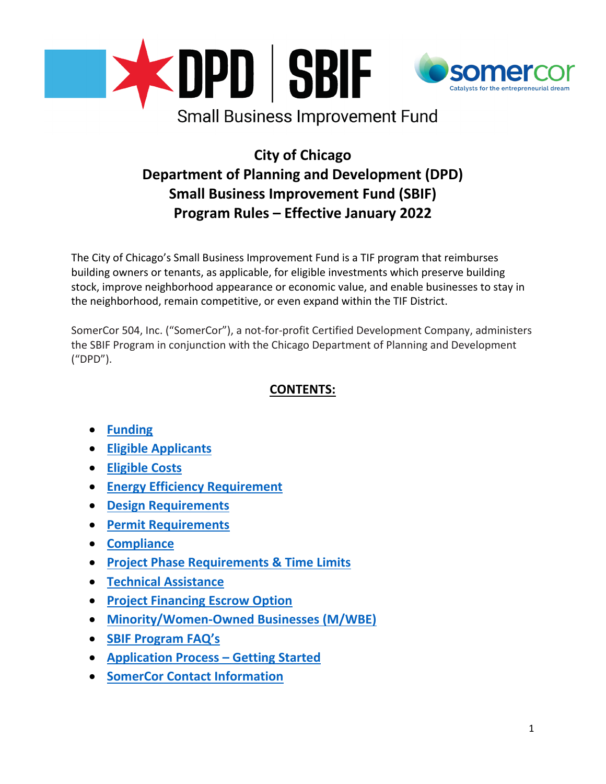

# **City of Chicago Department of Planning and Development (DPD) Small Business Improvement Fund (SBIF) Program Rules – Effective January 2022**

The City of Chicago's Small Business Improvement Fund is a TIF program that reimburses building owners or tenants, as applicable, for eligible investments which preserve building stock, improve neighborhood appearance or economic value, and enable businesses to stay in the neighborhood, remain competitive, or even expand within the TIF District.

SomerCor 504, Inc. ("SomerCor"), a not-for-profit Certified Development Company, administers the SBIF Program in conjunction with the Chicago Department of Planning and Development ("DPD").

# **CONTENTS:**

- **[Funding](#page-0-0)**
- **[Eligible Applicants](#page-3-0)**
- **[Eligible Costs](#page-5-0)**
- **[Energy Efficiency Requirement](#page-6-0)**
- **[Design Requirements](#page-6-1)**
- **[Permit Requirements](#page-6-2)**
- **[Compliance](#page-7-0)**
- **[Project Phase Requirements & Time Limits](#page-7-1)**
- **[Technical Assistance](#page-8-0)**
- **[Project Financing Escrow](#page-8-1) Option**
- **[Minority/Women-Owned Businesses \(M/WBE\)](#page-8-2)**
- **[SBIF Program FAQ's](#page-8-3)**
- **[Application Process –](#page-13-0) Getting Started**
- <span id="page-0-0"></span>• **[SomerCor Contact](#page-13-1) Information**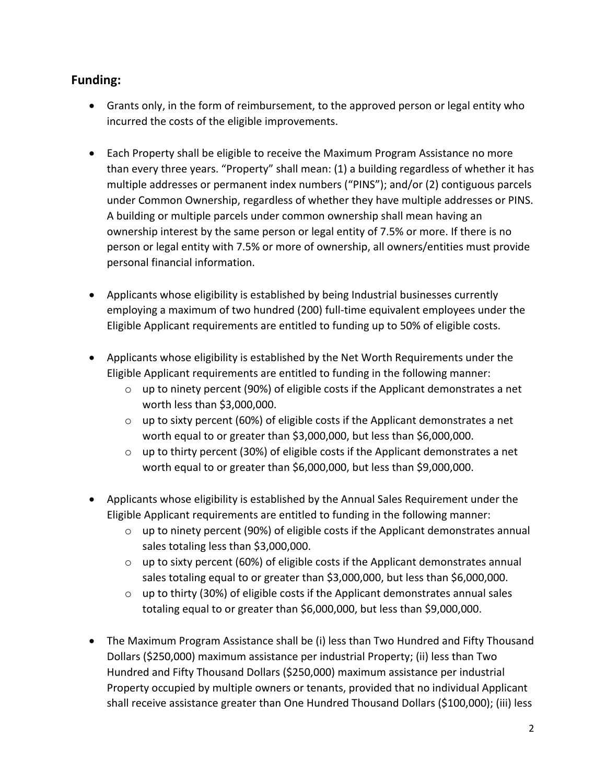# **Funding:**

- Grants only, in the form of reimbursement, to the approved person or legal entity who incurred the costs of the eligible improvements.
- Each Property shall be eligible to receive the Maximum Program Assistance no more than every three years. "Property" shall mean: (1) a building regardless of whether it has multiple addresses or permanent index numbers ("PINS"); and/or (2) contiguous parcels under Common Ownership, regardless of whether they have multiple addresses or PINS. A building or multiple parcels under common ownership shall mean having an ownership interest by the same person or legal entity of 7.5% or more. If there is no person or legal entity with 7.5% or more of ownership, all owners/entities must provide personal financial information.
- Applicants whose eligibility is established by being Industrial businesses currently employing a maximum of two hundred (200) full-time equivalent employees under the Eligible Applicant requirements are entitled to funding up to 50% of eligible costs.
- Applicants whose eligibility is established by the Net Worth Requirements under the Eligible Applicant requirements are entitled to funding in the following manner:
	- $\circ$  up to ninety percent (90%) of eligible costs if the Applicant demonstrates a net worth less than \$3,000,000.
	- $\circ$  up to sixty percent (60%) of eligible costs if the Applicant demonstrates a net worth equal to or greater than \$3,000,000, but less than \$6,000,000.
	- $\circ$  up to thirty percent (30%) of eligible costs if the Applicant demonstrates a net worth equal to or greater than \$6,000,000, but less than \$9,000,000.
- Applicants whose eligibility is established by the Annual Sales Requirement under the Eligible Applicant requirements are entitled to funding in the following manner:
	- $\circ$  up to ninety percent (90%) of eligible costs if the Applicant demonstrates annual sales totaling less than \$3,000,000.
	- $\circ$  up to sixty percent (60%) of eligible costs if the Applicant demonstrates annual sales totaling equal to or greater than \$3,000,000, but less than \$6,000,000.
	- o up to thirty (30%) of eligible costs if the Applicant demonstrates annual sales totaling equal to or greater than \$6,000,000, but less than \$9,000,000.
- The Maximum Program Assistance shall be (i) less than Two Hundred and Fifty Thousand Dollars (\$250,000) maximum assistance per industrial Property; (ii) less than Two Hundred and Fifty Thousand Dollars (\$250,000) maximum assistance per industrial Property occupied by multiple owners or tenants, provided that no individual Applicant shall receive assistance greater than One Hundred Thousand Dollars (\$100,000); (iii) less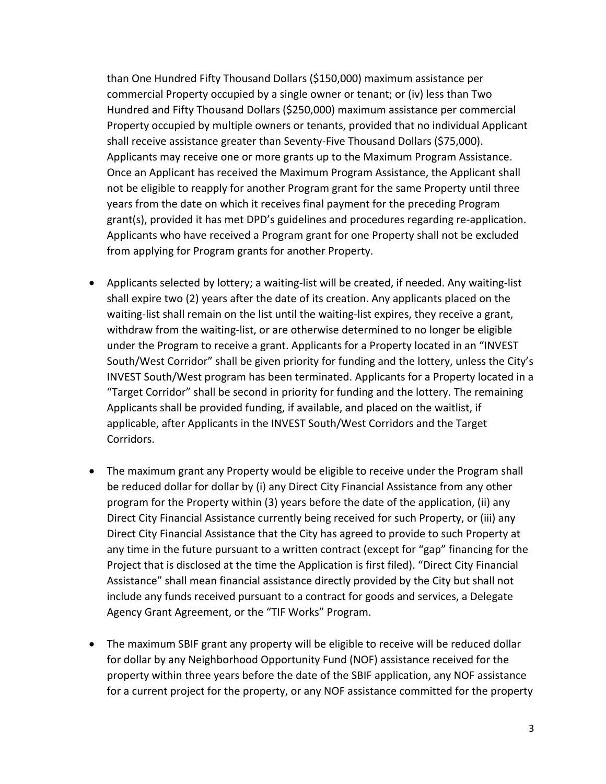than One Hundred Fifty Thousand Dollars (\$150,000) maximum assistance per commercial Property occupied by a single owner or tenant; or (iv) less than Two Hundred and Fifty Thousand Dollars (\$250,000) maximum assistance per commercial Property occupied by multiple owners or tenants, provided that no individual Applicant shall receive assistance greater than Seventy-Five Thousand Dollars (\$75,000). Applicants may receive one or more grants up to the Maximum Program Assistance. Once an Applicant has received the Maximum Program Assistance, the Applicant shall not be eligible to reapply for another Program grant for the same Property until three years from the date on which it receives final payment for the preceding Program grant(s), provided it has met DPD's guidelines and procedures regarding re-application. Applicants who have received a Program grant for one Property shall not be excluded from applying for Program grants for another Property.

- Applicants selected by lottery; a waiting-list will be created, if needed. Any waiting-list shall expire two (2) years after the date of its creation. Any applicants placed on the waiting-list shall remain on the list until the waiting-list expires, they receive a grant, withdraw from the waiting-list, or are otherwise determined to no longer be eligible under the Program to receive a grant. Applicants for a Property located in an "INVEST South/West Corridor" shall be given priority for funding and the lottery, unless the City's INVEST South/West program has been terminated. Applicants for a Property located in a "Target Corridor" shall be second in priority for funding and the lottery. The remaining Applicants shall be provided funding, if available, and placed on the waitlist, if applicable, after Applicants in the INVEST South/West Corridors and the Target Corridors.
- The maximum grant any Property would be eligible to receive under the Program shall be reduced dollar for dollar by (i) any Direct City Financial Assistance from any other program for the Property within (3) years before the date of the application, (ii) any Direct City Financial Assistance currently being received for such Property, or (iii) any Direct City Financial Assistance that the City has agreed to provide to such Property at any time in the future pursuant to a written contract (except for "gap" financing for the Project that is disclosed at the time the Application is first filed). "Direct City Financial Assistance" shall mean financial assistance directly provided by the City but shall not include any funds received pursuant to a contract for goods and services, a Delegate Agency Grant Agreement, or the "TIF Works" Program.
- The maximum SBIF grant any property will be eligible to receive will be reduced dollar for dollar by any Neighborhood Opportunity Fund (NOF) assistance received for the property within three years before the date of the SBIF application, any NOF assistance for a current project for the property, or any NOF assistance committed for the property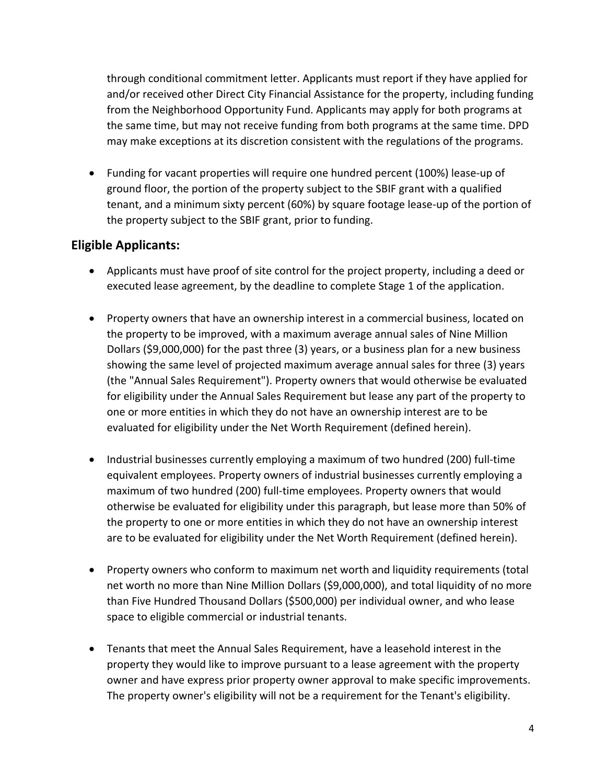through conditional commitment letter. Applicants must report if they have applied for and/or received other Direct City Financial Assistance for the property, including funding from the Neighborhood Opportunity Fund. Applicants may apply for both programs at the same time, but may not receive funding from both programs at the same time. DPD may make exceptions at its discretion consistent with the regulations of the programs.

• Funding for vacant properties will require one hundred percent (100%) lease-up of ground floor, the portion of the property subject to the SBIF grant with a qualified tenant, and a minimum sixty percent (60%) by square footage lease-up of the portion of the property subject to the SBIF grant, prior to funding.

# <span id="page-3-0"></span>**Eligible Applicants:**

- Applicants must have proof of site control for the project property, including a deed or executed lease agreement, by the deadline to complete Stage 1 of the application.
- Property owners that have an ownership interest in a commercial business, located on the property to be improved, with a maximum average annual sales of Nine Million Dollars (\$9,000,000) for the past three (3) years, or a business plan for a new business showing the same level of projected maximum average annual sales for three (3) years (the "Annual Sales Requirement"). Property owners that would otherwise be evaluated for eligibility under the Annual Sales Requirement but lease any part of the property to one or more entities in which they do not have an ownership interest are to be evaluated for eligibility under the Net Worth Requirement (defined herein).
- Industrial businesses currently employing a maximum of two hundred (200) full-time equivalent employees. Property owners of industrial businesses currently employing a maximum of two hundred (200) full-time employees. Property owners that would otherwise be evaluated for eligibility under this paragraph, but lease more than 50% of the property to one or more entities in which they do not have an ownership interest are to be evaluated for eligibility under the Net Worth Requirement (defined herein).
- Property owners who conform to maximum net worth and liquidity requirements (total net worth no more than Nine Million Dollars (\$9,000,000), and total liquidity of no more than Five Hundred Thousand Dollars (\$500,000) per individual owner, and who lease space to eligible commercial or industrial tenants.
- Tenants that meet the Annual Sales Requirement, have a leasehold interest in the property they would like to improve pursuant to a lease agreement with the property owner and have express prior property owner approval to make specific improvements. The property owner's eligibility will not be a requirement for the Tenant's eligibility.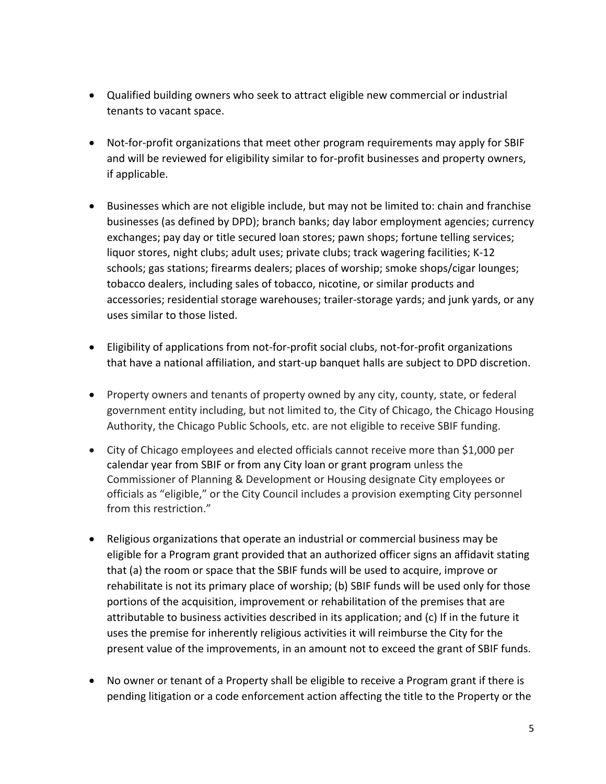- Qualified building owners who seek to attract eligible new commercial or industrial tenants to vacant space.
- Not-for-profit organizations that meet other program requirements may apply for SBIF and will be reviewed for eligibility similar to for-profit businesses and property owners, if applicable.
- Businesses which are not eligible include, but may not be limited to: chain and franchise businesses (as defined by DPD); branch banks; day labor employment agencies; currency exchanges; pay day or title secured loan stores; pawn shops; fortune telling services; liquor stores, night clubs; adult uses; private clubs; track wagering facilities; K-12 schools; gas stations; firearms dealers; places of worship; smoke shops/cigar lounges; tobacco dealers, including sales of tobacco, nicotine, or similar products and accessories; residential storage warehouses; trailer-storage yards; and junk yards, or any uses similar to those listed.
- Eligibility of applications from not-for-profit social clubs, not-for-profit organizations that have a national affiliation, and start-up banquet halls are subject to DPD discretion.
- Property owners and tenants of property owned by any city, county, state, or federal government entity including, but not limited to, the City of Chicago, the Chicago Housing Authority, the Chicago Public Schools, etc. are not eligible to receive SBIF funding.
- City of Chicago employees and elected officials cannot receive more than \$1,000 per calendar year from SBIF or from any City loan or grant program unless the Commissioner of Planning & Development or Housing designate City employees or officials as "eligible," or the City Council includes a provision exempting City personnel from this restriction."
- Religious organizations that operate an industrial or commercial business may be eligible for a Program grant provided that an authorized officer signs an affidavit stating that (a) the room or space that the SBIF funds will be used to acquire, improve or rehabilitate is not its primary place of worship; (b) SBIF funds will be used only for those portions of the acquisition, improvement or rehabilitation of the premises that are attributable to business activities described in its application; and (c) If in the future it uses the premise for inherently religious activities it will reimburse the City for the present value of the improvements, in an amount not to exceed the grant of SBIF funds.
- No owner or tenant of a Property shall be eligible to receive a Program grant if there is pending litigation or a code enforcement action affecting the title to the Property or the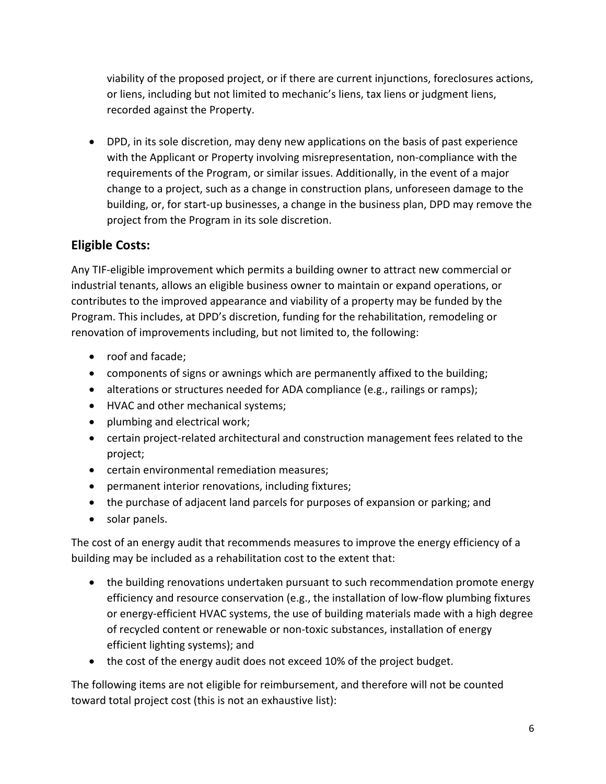viability of the proposed project, or if there are current injunctions, foreclosures actions, or liens, including but not limited to mechanic's liens, tax liens or judgment liens, recorded against the Property.

• DPD, in its sole discretion, may deny new applications on the basis of past experience with the Applicant or Property involving misrepresentation, non-compliance with the requirements of the Program, or similar issues. Additionally, in the event of a major change to a project, such as a change in construction plans, unforeseen damage to the building, or, for start-up businesses, a change in the business plan, DPD may remove the project from the Program in its sole discretion.

# <span id="page-5-0"></span>**Eligible Costs:**

Any TIF-eligible improvement which permits a building owner to attract new commercial or industrial tenants, allows an eligible business owner to maintain or expand operations, or contributes to the improved appearance and viability of a property may be funded by the Program. This includes, at DPD's discretion, funding for the rehabilitation, remodeling or renovation of improvements including, but not limited to, the following:

- roof and facade;
- components of signs or awnings which are permanently affixed to the building;
- alterations or structures needed for ADA compliance (e.g., railings or ramps);
- HVAC and other mechanical systems;
- plumbing and electrical work;
- certain project-related architectural and construction management fees related to the project;
- certain environmental remediation measures;
- permanent interior renovations, including fixtures;
- the purchase of adjacent land parcels for purposes of expansion or parking; and
- solar panels.

The cost of an energy audit that recommends measures to improve the energy efficiency of a building may be included as a rehabilitation cost to the extent that:

- the building renovations undertaken pursuant to such recommendation promote energy efficiency and resource conservation (e.g., the installation of low-flow plumbing fixtures or energy-efficient HVAC systems, the use of building materials made with a high degree of recycled content or renewable or non-toxic substances, installation of energy efficient lighting systems); and
- the cost of the energy audit does not exceed 10% of the project budget.

The following items are not eligible for reimbursement, and therefore will not be counted toward total project cost (this is not an exhaustive list):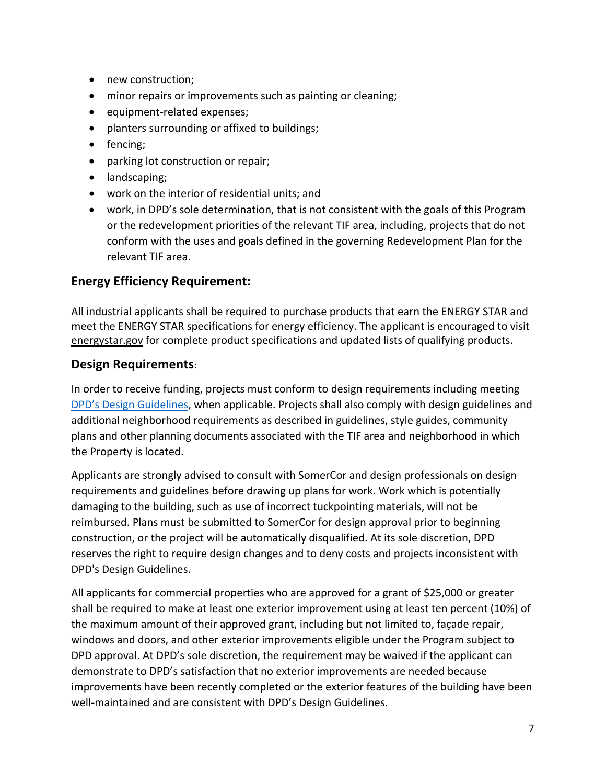- new construction;
- minor repairs or improvements such as painting or cleaning;
- equipment-related expenses;
- planters surrounding or affixed to buildings;
- fencing;
- parking lot construction or repair;
- landscaping;
- work on the interior of residential units; and
- work, in DPD's sole determination, that is not consistent with the goals of this Program or the redevelopment priorities of the relevant TIF area, including, projects that do not conform with the uses and goals defined in the governing Redevelopment Plan for the relevant TIF area.

# <span id="page-6-0"></span>**Energy Efficiency Requirement:**

All industrial applicants shall be required to purchase products that earn the ENERGY STAR and meet the ENERGY STAR specifications for energy efficiency. The applicant is encouraged to visit energystar.gov for complete product specifications and updated lists of qualifying products.

## <span id="page-6-1"></span>**Design Requirements**:

In order to receive funding, projects must conform to design requirements including meeting [DPD's Design Guidelines,](https://www.chicago.gov/content/dam/city/depts/dcd/design/neighborhood_design_guidelines_draft.pdf) when applicable. Projects shall also comply with design guidelines and additional neighborhood requirements as described in guidelines, style guides, community plans and other planning documents associated with the TIF area and neighborhood in which the Property is located.

Applicants are strongly advised to consult with SomerCor and design professionals on design requirements and guidelines before drawing up plans for work. Work which is potentially damaging to the building, such as use of incorrect tuckpointing materials, will not be reimbursed. Plans must be submitted to SomerCor for design approval prior to beginning construction, or the project will be automatically disqualified. At its sole discretion, DPD reserves the right to require design changes and to deny costs and projects inconsistent with DPD's Design Guidelines.

<span id="page-6-2"></span>All applicants for commercial properties who are approved for a grant of \$25,000 or greater shall be required to make at least one exterior improvement using at least ten percent (10%) of the maximum amount of their approved grant, including but not limited to, façade repair, windows and doors, and other exterior improvements eligible under the Program subject to DPD approval. At DPD's sole discretion, the requirement may be waived if the applicant can demonstrate to DPD's satisfaction that no exterior improvements are needed because improvements have been recently completed or the exterior features of the building have been well-maintained and are consistent with DPD's Design Guidelines.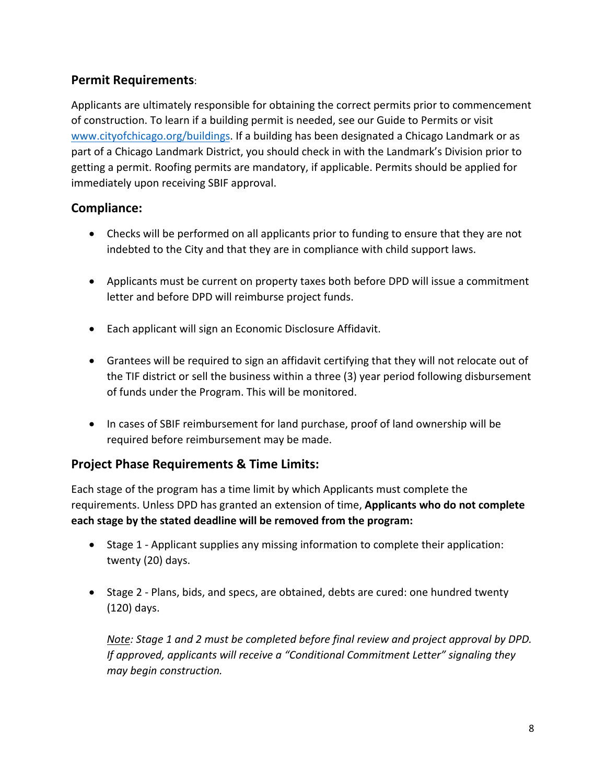# **Permit Requirements**:

Applicants are ultimately responsible for obtaining the correct permits prior to commencement of construction. To learn if a building permit is needed, see our Guide to Permits or visit [www.cityofchicago.org/buildings.](http://www.cityofchicago.org/buildings) If a building has been designated a Chicago Landmark or as part of a Chicago Landmark District, you should check in with the Landmark's Division prior to getting a permit. Roofing permits are mandatory, if applicable. Permits should be applied for immediately upon receiving SBIF approval.

# <span id="page-7-0"></span>**Compliance:**

- Checks will be performed on all applicants prior to funding to ensure that they are not indebted to the City and that they are in compliance with child support laws.
- Applicants must be current on property taxes both before DPD will issue a commitment letter and before DPD will reimburse project funds.
- Each applicant will sign an Economic Disclosure Affidavit.
- Grantees will be required to sign an affidavit certifying that they will not relocate out of the TIF district or sell the business within a three (3) year period following disbursement of funds under the Program. This will be monitored.
- In cases of SBIF reimbursement for land purchase, proof of land ownership will be required before reimbursement may be made.

# <span id="page-7-1"></span>**Project Phase Requirements & Time Limits:**

Each stage of the program has a time limit by which Applicants must complete the requirements. Unless DPD has granted an extension of time, **Applicants who do not complete each stage by the stated deadline will be removed from the program:**

- Stage 1 Applicant supplies any missing information to complete their application: twenty (20) days.
- Stage 2 Plans, bids, and specs, are obtained, debts are cured: one hundred twenty (120) days.

*Note: Stage 1 and 2 must be completed before final review and project approval by DPD. If approved, applicants will receive a "Conditional Commitment Letter" signaling they may begin construction.*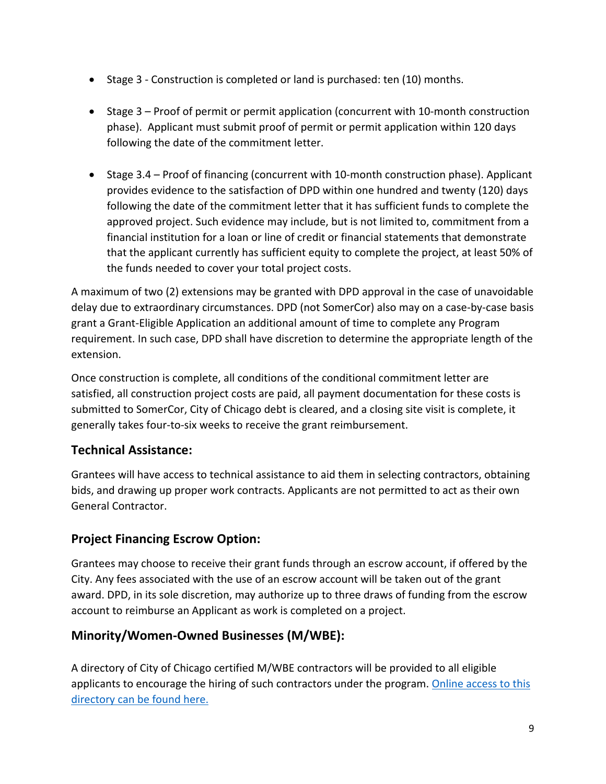- Stage 3 Construction is completed or land is purchased: ten (10) months.
- Stage 3 Proof of permit or permit application (concurrent with 10-month construction phase). Applicant must submit proof of permit or permit application within 120 days following the date of the commitment letter.
- Stage 3.4 Proof of financing (concurrent with 10-month construction phase). Applicant provides evidence to the satisfaction of DPD within one hundred and twenty (120) days following the date of the commitment letter that it has sufficient funds to complete the approved project. Such evidence may include, but is not limited to, commitment from a financial institution for a loan or line of credit or financial statements that demonstrate that the applicant currently has sufficient equity to complete the project, at least 50% of the funds needed to cover your total project costs.

A maximum of two (2) extensions may be granted with DPD approval in the case of unavoidable delay due to extraordinary circumstances. DPD (not SomerCor) also may on a case-by-case basis grant a Grant-Eligible Application an additional amount of time to complete any Program requirement. In such case, DPD shall have discretion to determine the appropriate length of the extension.

Once construction is complete, all conditions of the conditional commitment letter are satisfied, all construction project costs are paid, all payment documentation for these costs is submitted to SomerCor, City of Chicago debt is cleared, and a closing site visit is complete, it generally takes four-to-six weeks to receive the grant reimbursement.

# <span id="page-8-0"></span>**Technical Assistance:**

Grantees will have access to technical assistance to aid them in selecting contractors, obtaining bids, and drawing up proper work contracts. Applicants are not permitted to act as their own General Contractor.

# <span id="page-8-1"></span>**Project Financing Escrow Option:**

Grantees may choose to receive their grant funds through an escrow account, if offered by the City. Any fees associated with the use of an escrow account will be taken out of the grant award. DPD, in its sole discretion, may authorize up to three draws of funding from the escrow account to reimburse an Applicant as work is completed on a project.

# <span id="page-8-2"></span>**Minority/Women-Owned Businesses (M/WBE):**

<span id="page-8-3"></span>A directory of City of Chicago certified M/WBE contractors will be provided to all eligible applicants to encourage the hiring of such contractors under the program. Online access to this [directory can be found here.](https://chicago.mwdbe.com/FrontEnd/SearchCertifiedDirectory.asp?XID=829&TN=chicago)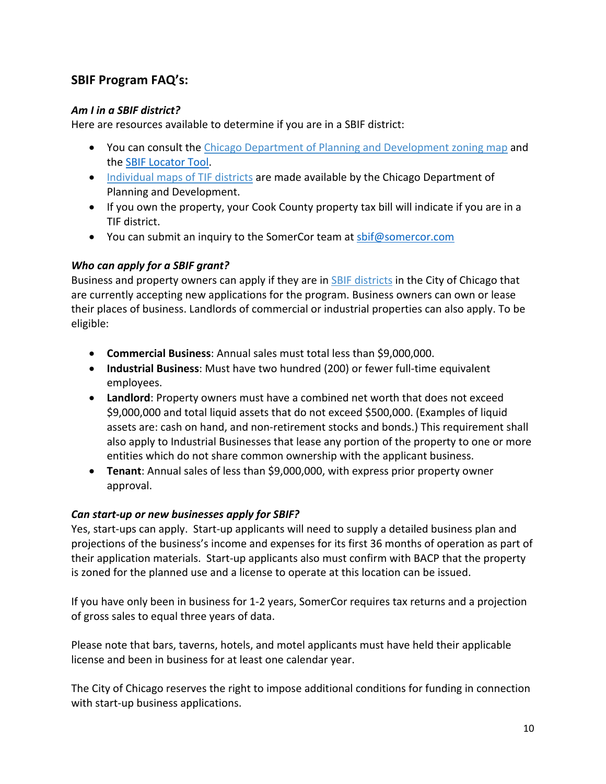# **SBIF Program FAQ's:**

#### *Am I in a SBIF district?*

Here are resources available to determine if you are in a SBIF district:

- You can consult the [Chicago Department of Planning and Development zoning map](https://gisapps.cityofchicago.org/zoning/) and the [SBIF Locator Tool.](https://www.chicago.gov/city/en/sites/small-business-improvement-fund/home/eligibility.html)
- [Individual maps of TIF districts](http://www.cityofchicago.org/city/en/depts/dcd/supp_info/view_tif_districtmapsbyregion.html) are made available by the Chicago Department of Planning and Development.
- If you own the property, your Cook County property tax bill will indicate if you are in a TIF district.
- You can submit an inquiry to the SomerCor team at [sbif@somercor.com](mailto:sbif@somercor.com)

#### *Who can apply for a SBIF grant?*

Business and property owners can apply if they are in SBIF districts in the City of Chicago that are currently accepting new applications for the program. Business owners can own or lease their places of business. Landlords of commercial or industrial properties can also apply. To be eligible:

- **Commercial Business**: Annual sales must total less than \$9,000,000.
- **Industrial Business**: Must have two hundred (200) or fewer full-time equivalent employees.
- **Landlord**: Property owners must have a combined net worth that does not exceed \$9,000,000 and total liquid assets that do not exceed \$500,000. (Examples of liquid assets are: cash on hand, and non-retirement stocks and bonds.) This requirement shall also apply to Industrial Businesses that lease any portion of the property to one or more entities which do not share common ownership with the applicant business.
- **Tenant**: Annual sales of less than \$9,000,000, with express prior property owner approval.

## *Can start-up or new businesses apply for SBIF?*

Yes, start-ups can apply. Start-up applicants will need to supply a detailed business plan and projections of the business's income and expenses for its first 36 months of operation as part of their application materials. Start-up applicants also must confirm with BACP that the property is zoned for the planned use and a license to operate at this location can be issued.

If you have only been in business for 1-2 years, SomerCor requires tax returns and a projection of gross sales to equal three years of data.

Please note that bars, taverns, hotels, and motel applicants must have held their applicable license and been in business for at least one calendar year.

The City of Chicago reserves the right to impose additional conditions for funding in connection with start-up business applications.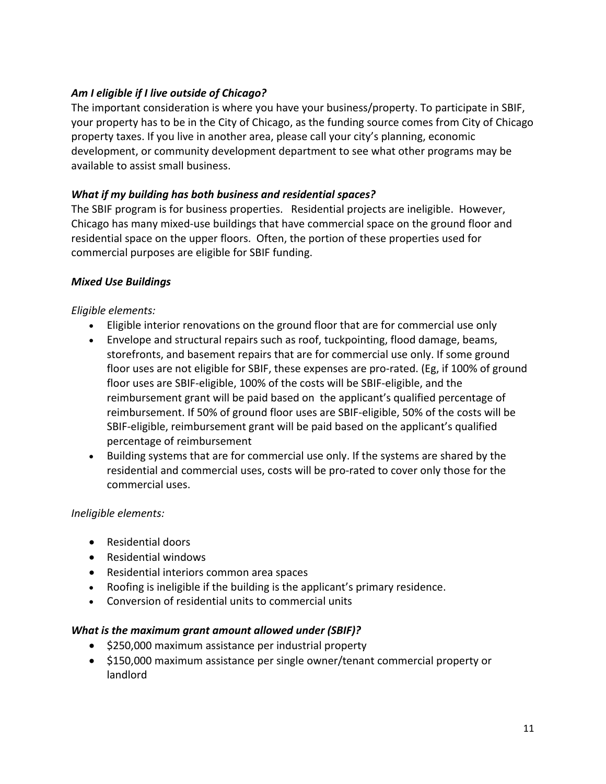#### *Am I eligible if I live outside of Chicago?*

The important consideration is where you have your business/property. To participate in SBIF, your property has to be in the City of Chicago, as the funding source comes from City of Chicago property taxes. If you live in another area, please call your city's planning, economic development, or community development department to see what other programs may be available to assist small business.

#### *What if my building has both business and residential spaces?*

The SBIF program is for business properties. Residential projects are ineligible. However, Chicago has many mixed-use buildings that have commercial space on the ground floor and residential space on the upper floors. Often, the portion of these properties used for commercial purposes are eligible for SBIF funding.

#### *Mixed Use Buildings*

#### *Eligible elements:*

- Eligible interior renovations on the ground floor that are for commercial use only
- Envelope and structural repairs such as roof, tuckpointing, flood damage, beams, storefronts, and basement repairs that are for commercial use only. If some ground floor uses are not eligible for SBIF, these expenses are pro-rated. (Eg, if 100% of ground floor uses are SBIF-eligible, 100% of the costs will be SBIF-eligible, and the reimbursement grant will be paid based on the applicant's qualified percentage of reimbursement. If 50% of ground floor uses are SBIF-eligible, 50% of the costs will be SBIF-eligible, reimbursement grant will be paid based on the applicant's qualified percentage of reimbursement
- Building systems that are for commercial use only. If the systems are shared by the residential and commercial uses, costs will be pro-rated to cover only those for the commercial uses.

#### *Ineligible elements:*

- Residential doors
- Residential windows
- Residential interiors common area spaces
- Roofing is ineligible if the building is the applicant's primary residence.
- Conversion of residential units to commercial units

#### *What is the maximum grant amount allowed under (SBIF)?*

- \$250,000 maximum assistance per industrial property
- \$150,000 maximum assistance per single owner/tenant commercial property or landlord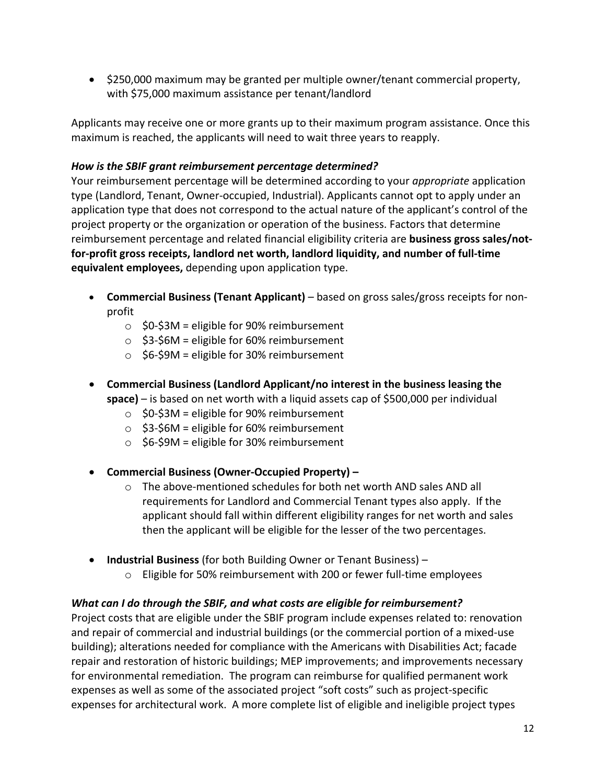• \$250,000 maximum may be granted per multiple owner/tenant commercial property, with \$75,000 maximum assistance per tenant/landlord

Applicants may receive one or more grants up to their maximum program assistance. Once this maximum is reached, the applicants will need to wait three years to reapply.

#### *How is the SBIF grant reimbursement percentage determined?*

Your reimbursement percentage will be determined according to your *appropriate* application type (Landlord, Tenant, Owner-occupied, Industrial). Applicants cannot opt to apply under an application type that does not correspond to the actual nature of the applicant's control of the project property or the organization or operation of the business. Factors that determine reimbursement percentage and related financial eligibility criteria are **business gross sales/notfor-profit gross receipts, landlord net worth, landlord liquidity, and number of full-time equivalent employees,** depending upon application type.

- **Commercial Business (Tenant Applicant)** based on gross sales/gross receipts for nonprofit
	- $\circ$  \$0-\$3M = eligible for 90% reimbursement
	- $\circ$  \$3-\$6M = eligible for 60% reimbursement
	- $\circ$  \$6-\$9M = eligible for 30% reimbursement
- **Commercial Business (Landlord Applicant/no interest in the business leasing the space)** – is based on net worth with a liquid assets cap of \$500,000 per individual
	- $\circ$  \$0-\$3M = eligible for 90% reimbursement
	- $\circ$  \$3-\$6M = eligible for 60% reimbursement
	- $\circ$  \$6-\$9M = eligible for 30% reimbursement
- **Commercial Business (Owner-Occupied Property) –**
	- o The above-mentioned schedules for both net worth AND sales AND all requirements for Landlord and Commercial Tenant types also apply. If the applicant should fall within different eligibility ranges for net worth and sales then the applicant will be eligible for the lesser of the two percentages.
- **Industrial Business** (for both Building Owner or Tenant Business)
	- $\circ$  Eligible for 50% reimbursement with 200 or fewer full-time employees

## *What can I do through the SBIF, and what costs are eligible for reimbursement?*

Project costs that are eligible under the SBIF program include expenses related to: renovation and repair of commercial and industrial buildings (or the commercial portion of a mixed-use building); alterations needed for compliance with the Americans with Disabilities Act; facade repair and restoration of historic buildings; MEP improvements; and improvements necessary for environmental remediation. The program can reimburse for qualified permanent work expenses as well as some of the associated project "soft costs" such as project-specific expenses for architectural work. A more complete list of eligible and ineligible project types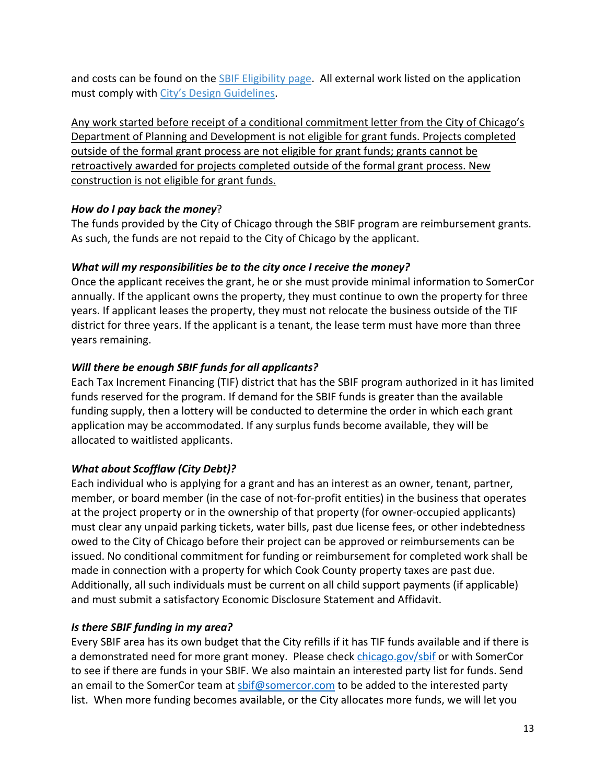and costs can be found on the [SBIF Eligibility page.](https://somercor.com/sbif-grant-eligibility/) All external work listed on the application must comply with [City's Design Guidelines.](https://www.chicago.gov/content/dam/city/depts/dcd/design/neighborhood_design_guidelines_draft.pdf)

Any work started before receipt of a conditional commitment letter from the City of Chicago's Department of Planning and Development is not eligible for grant funds. Projects completed outside of the formal grant process are not eligible for grant funds; grants cannot be retroactively awarded for projects completed outside of the formal grant process. New construction is not eligible for grant funds.

#### *How do I pay back the money*?

The funds provided by the City of Chicago through the SBIF program are reimbursement grants. As such, the funds are not repaid to the City of Chicago by the applicant.

## *What will my responsibilities be to the city once I receive the money?*

Once the applicant receives the grant, he or she must provide minimal information to SomerCor annually. If the applicant owns the property, they must continue to own the property for three years. If applicant leases the property, they must not relocate the business outside of the TIF district for three years. If the applicant is a tenant, the lease term must have more than three years remaining.

## *Will there be enough SBIF funds for all applicants?*

Each Tax Increment Financing (TIF) district that has the SBIF program authorized in it has limited funds reserved for the program. If demand for the SBIF funds is greater than the available funding supply, then a lottery will be conducted to determine the order in which each grant application may be accommodated. If any surplus funds become available, they will be allocated to waitlisted applicants.

## *What about Scofflaw (City Debt)?*

Each individual who is applying for a grant and has an interest as an owner, tenant, partner, member, or board member (in the case of not-for-profit entities) in the business that operates at the project property or in the ownership of that property (for owner-occupied applicants) must clear any unpaid parking tickets, water bills, past due license fees, or other indebtedness owed to the City of Chicago before their project can be approved or reimbursements can be issued. No conditional commitment for funding or reimbursement for completed work shall be made in connection with a property for which Cook County property taxes are past due. Additionally, all such individuals must be current on all child support payments (if applicable) and must submit a satisfactory Economic Disclosure Statement and Affidavit.

## *Is there SBIF funding in my area?*

Every SBIF area has its own budget that the City refills if it has TIF funds available and if there is a demonstrated need for more grant money. Please check [chicago.gov/sbif](http://www.chicago.gov/sbif) or with SomerCor to see if there are funds in your SBIF. We also maintain an interested party list for funds. Send an email to the SomerCor team at [sbif@somercor.com](mailto:sbif@somercor.com?subject=Interested%20Party%20-%20SBIF) to be added to the interested party list. When more funding becomes available, or the City allocates more funds, we will let you